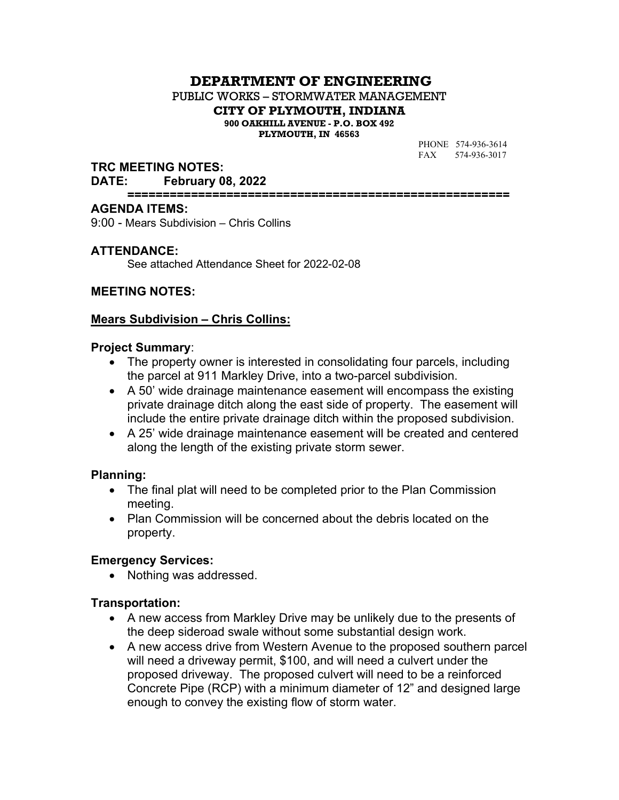# **DEPARTMENT OF ENGINEERING**

PUBLIC WORKS – STORMWATER MANAGEMENT

**CITY OF PLYMOUTH, INDIANA**

**900 OAKHILL AVENUE - P.O. BOX 492 PLYMOUTH, IN 46563**

PHONE 574-936-3614 FAX 574-936-3017

### **TRC MEETING NOTES:**

#### **DATE: February 08, 2022**

**======================================================**

#### **AGENDA ITEMS:**

9:00 - Mears Subdivision – Chris Collins

### **ATTENDANCE:**

See attached Attendance Sheet for 2022-02-08

### **MEETING NOTES:**

## **Mears Subdivision – Chris Collins:**

### **Project Summary**:

- The property owner is interested in consolidating four parcels, including the parcel at 911 Markley Drive, into a two-parcel subdivision.
- A 50' wide drainage maintenance easement will encompass the existing private drainage ditch along the east side of property. The easement will include the entire private drainage ditch within the proposed subdivision.
- A 25' wide drainage maintenance easement will be created and centered along the length of the existing private storm sewer.

### **Planning:**

- The final plat will need to be completed prior to the Plan Commission meeting.
- Plan Commission will be concerned about the debris located on the property.

### **Emergency Services:**

• Nothing was addressed.

### **Transportation:**

- A new access from Markley Drive may be unlikely due to the presents of the deep sideroad swale without some substantial design work.
- A new access drive from Western Avenue to the proposed southern parcel will need a driveway permit, \$100, and will need a culvert under the proposed driveway. The proposed culvert will need to be a reinforced Concrete Pipe (RCP) with a minimum diameter of 12" and designed large enough to convey the existing flow of storm water.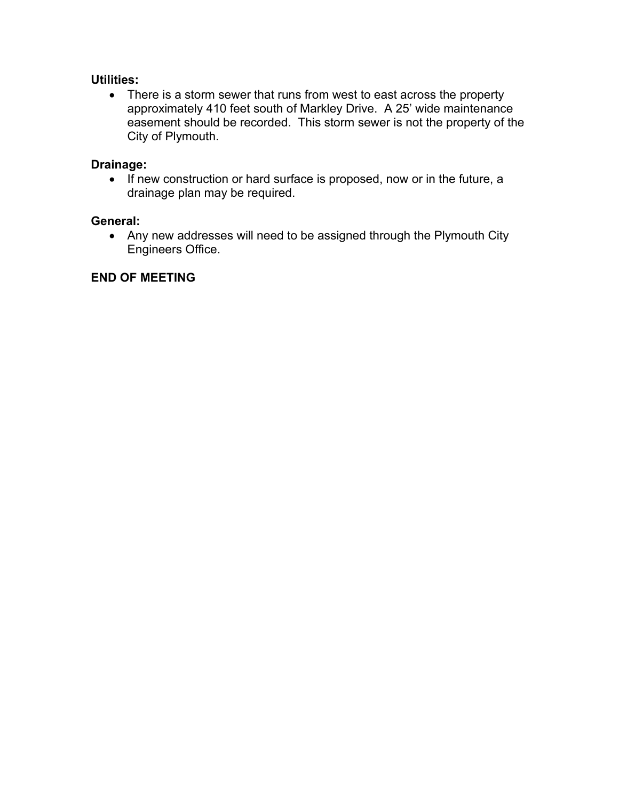## **Utilities:**

• There is a storm sewer that runs from west to east across the property approximately 410 feet south of Markley Drive. A 25' wide maintenance easement should be recorded. This storm sewer is not the property of the City of Plymouth.

## **Drainage:**

• If new construction or hard surface is proposed, now or in the future, a drainage plan may be required.

## **General:**

• Any new addresses will need to be assigned through the Plymouth City Engineers Office.

## **END OF MEETING**